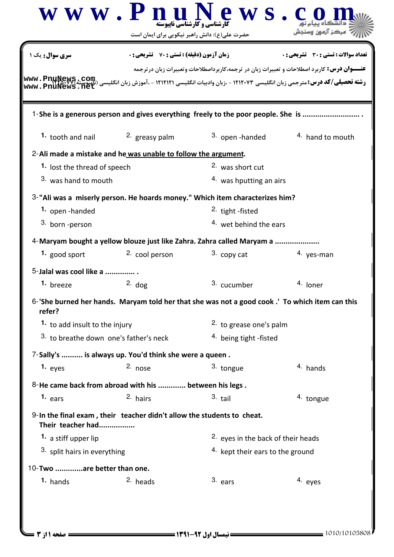| <b>زمان آزمون (دقیقه) : تستی : 70 ٪ تشریحی : 0</b><br>1. tooth and nail $\frac{2}{x}$ greasy palm<br>2-Ali made a mistake and he was unable to follow the argument. | 1-She is a generous person and gives everything freely to the poor people. She is<br>3. open-handed | <b>تعداد سوالات : تستی : 30 ٪ تشریحی : 0</b><br><b>عنـــوان درس:</b> کاربرد اصطلاحات و تعبیرات زبان در ترجمه،کاربرداصطلاحات وتعبیرات زبان درترجمه<br><b>رشته تحصیلی/کد درس:</b> مترجمی زبان انگلیسی ۱۲۱۲۰۷۳ - ،زبان وادبیات انگلیسی ۱۲۱۲۱۲۱ - ،آموزش زبان انگلیسی (نایپوییا<br>در این مورد از این مورد از این مورد از این مورد از این مورد از این استان انگلیسی ۱۲۱۲۱۲۱ - آموزش زبان انگلیس<br><sup>4</sup> hand to mouth |
|---------------------------------------------------------------------------------------------------------------------------------------------------------------------|-----------------------------------------------------------------------------------------------------|---------------------------------------------------------------------------------------------------------------------------------------------------------------------------------------------------------------------------------------------------------------------------------------------------------------------------------------------------------------------------------------------------------------------------|
|                                                                                                                                                                     |                                                                                                     |                                                                                                                                                                                                                                                                                                                                                                                                                           |
|                                                                                                                                                                     |                                                                                                     |                                                                                                                                                                                                                                                                                                                                                                                                                           |
|                                                                                                                                                                     |                                                                                                     |                                                                                                                                                                                                                                                                                                                                                                                                                           |
|                                                                                                                                                                     |                                                                                                     |                                                                                                                                                                                                                                                                                                                                                                                                                           |
|                                                                                                                                                                     |                                                                                                     |                                                                                                                                                                                                                                                                                                                                                                                                                           |
|                                                                                                                                                                     | 2. was short cut                                                                                    |                                                                                                                                                                                                                                                                                                                                                                                                                           |
|                                                                                                                                                                     | 4. was hputting an airs                                                                             |                                                                                                                                                                                                                                                                                                                                                                                                                           |
|                                                                                                                                                                     | 3-"Ali was a miserly person. He hoards money." Which item characterizes him?                        |                                                                                                                                                                                                                                                                                                                                                                                                                           |
|                                                                                                                                                                     | <sup>2.</sup> tight -fisted                                                                         |                                                                                                                                                                                                                                                                                                                                                                                                                           |
|                                                                                                                                                                     | 4. wet behind the ears                                                                              |                                                                                                                                                                                                                                                                                                                                                                                                                           |
|                                                                                                                                                                     | 4-Maryam bought a yellow blouze just like Zahra. Zahra called Maryam a                              |                                                                                                                                                                                                                                                                                                                                                                                                                           |
| <sup>2.</sup> cool person                                                                                                                                           | 3. copy cat                                                                                         | 4. yes-man                                                                                                                                                                                                                                                                                                                                                                                                                |
|                                                                                                                                                                     |                                                                                                     |                                                                                                                                                                                                                                                                                                                                                                                                                           |
| $2.$ dog                                                                                                                                                            | 3. cucumber                                                                                         | 4. loner                                                                                                                                                                                                                                                                                                                                                                                                                  |
|                                                                                                                                                                     | 6-'She burned her hands. Maryam told her that she was not a good cook.' To which item can this      |                                                                                                                                                                                                                                                                                                                                                                                                                           |
|                                                                                                                                                                     | 2. to grease one's palm                                                                             |                                                                                                                                                                                                                                                                                                                                                                                                                           |
| 3. to breathe down one's father's neck                                                                                                                              | 4. being tight -fisted                                                                              |                                                                                                                                                                                                                                                                                                                                                                                                                           |
| 7-Sally's  is always up. You'd think she were a queen.                                                                                                              |                                                                                                     |                                                                                                                                                                                                                                                                                                                                                                                                                           |
| 2. nose                                                                                                                                                             | 3. tongue                                                                                           | 4. hands                                                                                                                                                                                                                                                                                                                                                                                                                  |
|                                                                                                                                                                     |                                                                                                     |                                                                                                                                                                                                                                                                                                                                                                                                                           |
|                                                                                                                                                                     | $3.$ tail                                                                                           | 4. tongue                                                                                                                                                                                                                                                                                                                                                                                                                 |
|                                                                                                                                                                     |                                                                                                     |                                                                                                                                                                                                                                                                                                                                                                                                                           |
|                                                                                                                                                                     | <sup>2</sup> eyes in the back of their heads                                                        |                                                                                                                                                                                                                                                                                                                                                                                                                           |
|                                                                                                                                                                     | 4. kept their ears to the ground                                                                    |                                                                                                                                                                                                                                                                                                                                                                                                                           |
|                                                                                                                                                                     |                                                                                                     |                                                                                                                                                                                                                                                                                                                                                                                                                           |
|                                                                                                                                                                     | $3.$ ears                                                                                           | 4. eyes                                                                                                                                                                                                                                                                                                                                                                                                                   |
|                                                                                                                                                                     | 2. hairs<br>10-Two are better than one.<br><sup>2.</sup> heads                                      | 8-He came back from abroad with his  between his legs.<br>9-In the final exam, their teacher didn't allow the students to cheat.                                                                                                                                                                                                                                                                                          |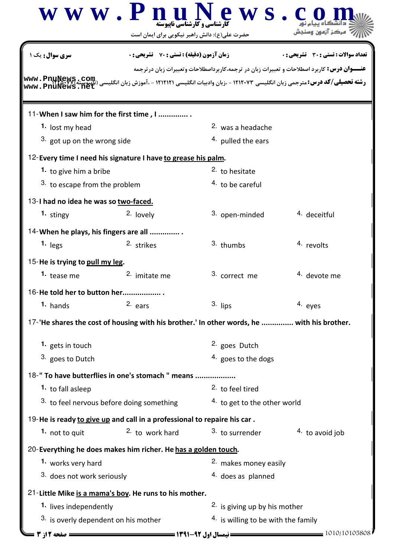|                                          | www.PnuN<br><b>کارشناسی و کارشناسی نایبوسته</b><br>حضرت علی(ع): دانش راهبر نیکویی برای ایمان است                                    | ews.                                                                                              |                                       |  |
|------------------------------------------|-------------------------------------------------------------------------------------------------------------------------------------|---------------------------------------------------------------------------------------------------|---------------------------------------|--|
| <b>سری سوال :</b> یک ۱                   | <b>زمان آزمون (دقیقه) : تستی : 70 ٪ تشریحی: 0</b>                                                                                   | <b>عنـــوان درس:</b> کاربرد اصطلاحات و تعبیرات زبان در ترجمه،کاربرداصطلاحات وتعبیرات زبان درترجمه | تعداد سوالات : تستي : 30 ٪ تشريحي : 0 |  |
|                                          | <b>رشته تحصیلی/کد درس:</b> مترجمی زبان انگلیسی ۱۲۱۲۰۷۳ - ،زبان وادبیات انگلیسی ۱۲۱۲۱۲۱ - ،آموزش زبان انگلیسی (ت <mark>آییو</mark> س |                                                                                                   |                                       |  |
|                                          | 11-When I saw him for the first time, I                                                                                             |                                                                                                   |                                       |  |
| 1. lost my head                          |                                                                                                                                     | <sup>2.</sup> was a headache                                                                      |                                       |  |
| <sup>3.</sup> got up on the wrong side   |                                                                                                                                     | <sup>4.</sup> pulled the ears                                                                     |                                       |  |
|                                          | 12- Every time I need his signature I have to grease his palm.                                                                      |                                                                                                   |                                       |  |
| 1. to give him a bribe                   |                                                                                                                                     | 2. to hesitate                                                                                    |                                       |  |
| 3. to escape from the problem            |                                                                                                                                     | <sup>4.</sup> to be careful                                                                       |                                       |  |
| 13-I had no idea he was so two-faced.    |                                                                                                                                     |                                                                                                   |                                       |  |
| 1. stingy                                | 2. lovely                                                                                                                           | 3. open-minded                                                                                    | <sup>4</sup> deceitful                |  |
|                                          | 14-When he plays, his fingers are all                                                                                               |                                                                                                   |                                       |  |
| 1. $legs$                                | <sup>2.</sup> strikes                                                                                                               | 3. thumbs                                                                                         | 4. revolts                            |  |
| 15-He is trying to pull my leg.          |                                                                                                                                     |                                                                                                   |                                       |  |
| 1. tease me                              | 2. imitate me                                                                                                                       | 3. correct me                                                                                     | <sup>4.</sup> devote me               |  |
|                                          |                                                                                                                                     |                                                                                                   |                                       |  |
| 16-He told her to button her<br>1. hands | 2. ears                                                                                                                             | 3. lips                                                                                           | 4. eyes                               |  |
|                                          |                                                                                                                                     |                                                                                                   |                                       |  |
|                                          | 17-'He shares the cost of housing with his brother.' In other words, he  with his brother.                                          |                                                                                                   |                                       |  |
| 1. gets in touch                         |                                                                                                                                     | 2. goes Dutch                                                                                     |                                       |  |
| <sup>3.</sup> goes to Dutch              |                                                                                                                                     | 4. goes to the dogs                                                                               |                                       |  |
|                                          | 18-" To have butterflies in one's stomach " means                                                                                   |                                                                                                   |                                       |  |
| 1. to fall asleep                        |                                                                                                                                     | <sup>2</sup> to feel tired                                                                        |                                       |  |
|                                          | 3. to feel nervous before doing something                                                                                           | 4. to get to the other world                                                                      |                                       |  |
|                                          |                                                                                                                                     |                                                                                                   |                                       |  |
| 1. not to quit                           | 19-He is ready to give up and call in a professional to repaire his car.<br>$2.$ to work hard                                       | 3. to surrender                                                                                   | 4. to avoid job                       |  |
|                                          |                                                                                                                                     |                                                                                                   |                                       |  |
|                                          | 20-Everything he does makes him richer. He has a golden touch.                                                                      |                                                                                                   |                                       |  |
| 1. works very hard                       |                                                                                                                                     | 2. makes money easily                                                                             |                                       |  |
| 3. does not work seriously               |                                                                                                                                     | 4. does as planned                                                                                |                                       |  |
|                                          | 21-Little Mike is a mama's boy. He runs to his mother.                                                                              |                                                                                                   |                                       |  |
| 1. lives independently                   |                                                                                                                                     | <sup>2</sup> is giving up by his mother                                                           |                                       |  |
| 3. is overly dependent on his mother     |                                                                                                                                     | 4. is willing to be with the family                                                               |                                       |  |
| صفحه 12: 3                               |                                                                                                                                     |                                                                                                   | 1010/10105808                         |  |